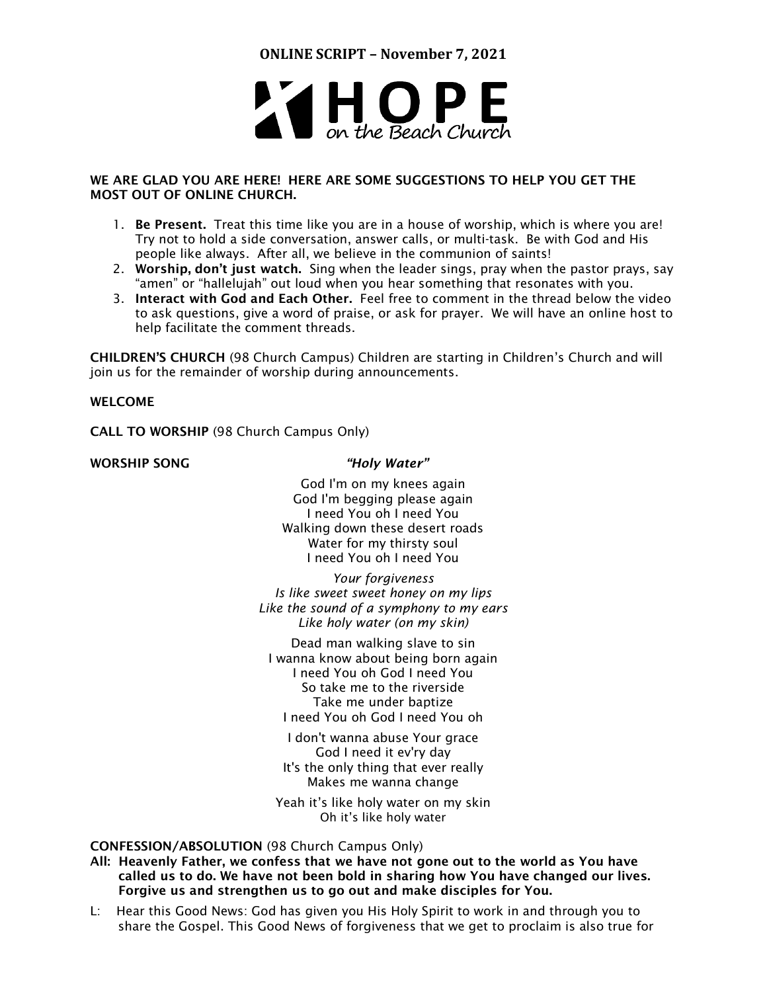

# WE ARE GLAD YOU ARE HERE! HERE ARE SOME SUGGESTIONS TO HELP YOU GET THE MOST OUT OF ONLINE CHURCH.

- 1. Be Present. Treat this time like you are in a house of worship, which is where you are! Try not to hold a side conversation, answer calls, or multi-task. Be with God and His people like always. After all, we believe in the communion of saints!
- 2. Worship, don't just watch. Sing when the leader sings, pray when the pastor prays, say "amen" or "hallelujah" out loud when you hear something that resonates with you.
- 3. Interact with God and Each Other. Feel free to comment in the thread below the video to ask questions, give a word of praise, or ask for prayer. We will have an online host to help facilitate the comment threads.

CHILDREN'S CHURCH (98 Church Campus) Children are starting in Children's Church and will join us for the remainder of worship during announcements.

# WELCOME

CALL TO WORSHIP (98 Church Campus Only)

## WORSHIP SONG *"Holy Water"*

God I'm on my knees again God I'm begging please again I need You oh I need You Walking down these desert roads Water for my thirsty soul I need You oh I need You

*Your forgiveness Is like sweet sweet honey on my lips Like the sound of a symphony to my ears Like holy water (on my skin)*

Dead man walking slave to sin I wanna know about being born again I need You oh God I need You So take me to the riverside Take me under baptize I need You oh God I need You oh

I don't wanna abuse Your grace God I need it ev'ry day It's the only thing that ever really Makes me wanna change

Yeah it's like holy water on my skin Oh it's like holy water

CONFESSION/ABSOLUTION (98 Church Campus Only)

All: Heavenly Father, we confess that we have not gone out to the world as You have called us to do. We have not been bold in sharing how You have changed our lives. Forgive us and strengthen us to go out and make disciples for You.

L: Hear this Good News: God has given you His Holy Spirit to work in and through you to share the Gospel. This Good News of forgiveness that we get to proclaim is also true for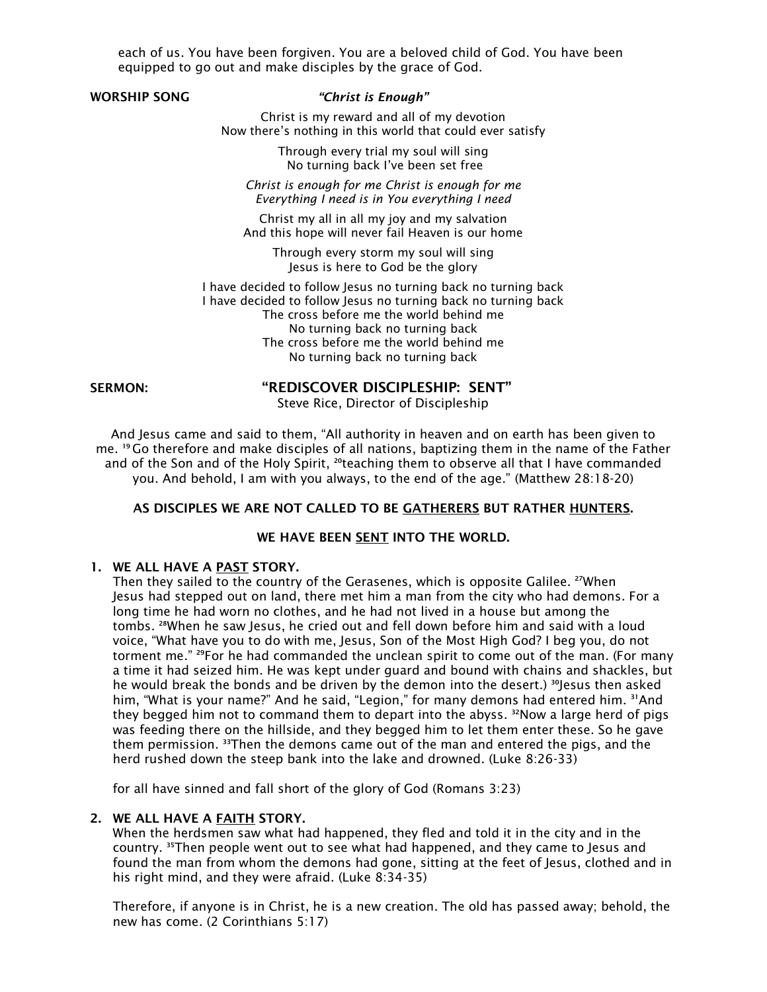each of us. You have been forgiven. You are a beloved child of God. You have been equipped to go out and make disciples by the grace of God.

## WORSHIP SONG *"Christ is Enough"*

Christ is my reward and all of my devotion Now there's nothing in this world that could ever satisfy

> Through every trial my soul will sing No turning back I've been set free

*Christ is enough for me Christ is enough for me Everything I need is in You everything I need*

Christ my all in all my joy and my salvation And this hope will never fail Heaven is our home

> Through every storm my soul will sing Jesus is here to God be the glory

I have decided to follow Jesus no turning back no turning back I have decided to follow Jesus no turning back no turning back The cross before me the world behind me No turning back no turning back The cross before me the world behind me No turning back no turning back

### SERMON: "REDISCOVER DISCIPLESHIP: SENT"

Steve Rice, Director of Discipleship

And Jesus came and said to them, "All authority in heaven and on earth has been given to me. <sup>19</sup> Go therefore and make disciples of all nations, baptizing them in the name of the Father and of the Son and of the Holy Spirit, <sup>20</sup>teaching them to observe all that I have commanded you. And behold, I am with you always, to the end of the age." (Matthew 28:18-20)

# AS DISCIPLES WE ARE NOT CALLED TO BE GATHERERS BUT RATHER HUNTERS.

## WE HAVE BEEN SENT INTO THE WORLD.

### 1. WE ALL HAVE A PAST STORY.

Then they sailed to the country of the Gerasenes, which is opposite Galilee. <sup>27</sup>When Jesus had stepped out on land, there met him a man from the city who had demons. For a long time he had worn no clothes, and he had not lived in a house but among the tombs. <sup>28</sup>When he saw Jesus, he cried out and fell down before him and said with a loud voice, "What have you to do with me, Jesus, Son of the Most High God? I beg you, do not torment me." <sup>29</sup>For he had commanded the unclean spirit to come out of the man. (For many a time it had seized him. He was kept under guard and bound with chains and shackles, but he would break the bonds and be driven by the demon into the desert.)  $^{30}$  esus then asked him, "What is your name?" And he said, "Legion," for many demons had entered him. 31And they begged him not to command them to depart into the abyss.  $32$ Now a large herd of pigs was feeding there on the hillside, and they begged him to let them enter these. So he gave them permission. <sup>33</sup>Then the demons came out of the man and entered the pigs, and the herd rushed down the steep bank into the lake and drowned. (Luke 8:26-33)

for all have sinned and fall short of the glory of God (Romans 3:23)

### 2. WE ALL HAVE A FAITH STORY.

When the herdsmen saw what had happened, they fled and told it in the city and in the country. <sup>35</sup>Then people went out to see what had happened, and they came to Jesus and found the man from whom the demons had gone, sitting at the feet of lesus, clothed and in his right mind, and they were afraid. (Luke 8:34-35)

Therefore, if anyone is in Christ, he is a new creation. The old has passed away; behold, the new has come. (2 Corinthians 5:17)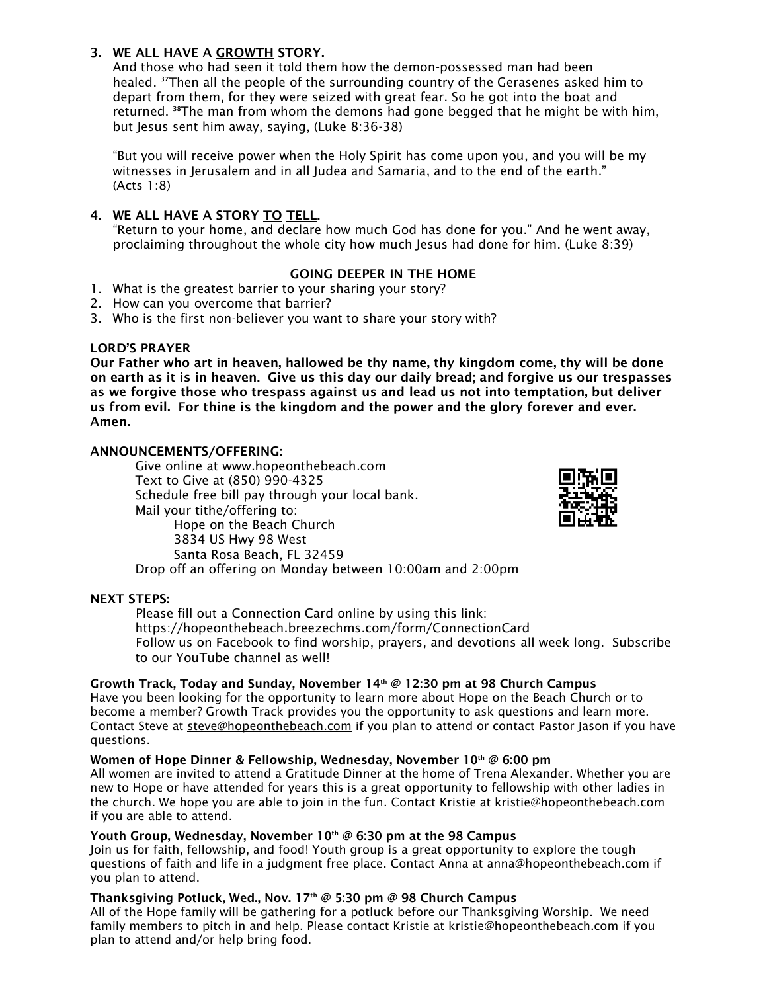# 3. WE ALL HAVE A GROWTH STORY.

And those who had seen it told them how the demon-possessed man had been healed. <sup>37</sup>Then all the people of the surrounding country of the Gerasenes asked him to depart from them, for they were seized with great fear. So he got into the boat and returned.  $38$ The man from whom the demons had gone begged that he might be with him, but Jesus sent him away, saying, (Luke 8:36-38)

"But you will receive power when the Holy Spirit has come upon you, and you will be my witnesses in Jerusalem and in all Judea and Samaria, and to the end of the earth." (Acts 1:8)

# 4. WE ALL HAVE A STORY TO TELL.

"Return to your home, and declare how much God has done for you." And he went away, proclaiming throughout the whole city how much Jesus had done for him. (Luke 8:39)

## GOING DEEPER IN THE HOME

- 1. What is the greatest barrier to your sharing your story?
- 2. How can you overcome that barrier?
- 3. Who is the first non-believer you want to share your story with?

## LORD'S PRAYER

Our Father who art in heaven, hallowed be thy name, thy kingdom come, thy will be done on earth as it is in heaven. Give us this day our daily bread; and forgive us our trespasses as we forgive those who trespass against us and lead us not into temptation, but deliver us from evil. For thine is the kingdom and the power and the glory forever and ever. Amen.

## ANNOUNCEMENTS/OFFERING:

Give online at [www.hopeonthebeach.com](http://www.hopeonthebeach.com/) Text to Give at (850) 990-4325 Schedule free bill pay through your local bank. Mail your tithe/offering to: Hope on the Beach Church 3834 US Hwy 98 West Santa Rosa Beach, FL 32459 Drop off an offering on Monday between 10:00am and 2:00pm



## NEXT STEPS:

Please fill out a Connection Card online by using this link: <https://hopeonthebeach.breezechms.com/form/ConnectionCard> Follow us on Facebook to find worship, prayers, and devotions all week long. Subscribe to our YouTube channel as well!

## Growth Track, Today and Sunday, November  $14<sup>th</sup> @ 12:30$  pm at 98 Church Campus

Have you been looking for the opportunity to learn more about Hope on the Beach Church or to become a member? Growth Track provides you the opportunity to ask questions and learn more. Contact Steve at steve@hopeonthebeach.com if you plan to attend or contact Pastor Jason if you have questions.

# Women of Hope Dinner & Fellowship, Wednesday, November  $10^{th}$  @ 6:00 pm

All women are invited to attend a Gratitude Dinner at the home of Trena Alexander. Whether you are new to Hope or have attended for years this is a great opportunity to fellowship with other ladies in the church. We hope you are able to join in the fun. Contact Kristie at kristie@hopeonthebeach.com if you are able to attend.

### Youth Group, Wednesday, November  $10^{th}$  @ 6:30 pm at the 98 Campus

Join us for faith, fellowship, and food! Youth group is a great opportunity to explore the tough questions of faith and life in a judgment free place. Contact Anna at [anna@hopeonthebeach.com](mailto:anna@hopeonthebeach.com) if you plan to attend.

## Thanksgiving Potluck, Wed., Nov. 17<sup>th</sup> @ 5:30 pm @ 98 Church Campus

All of the Hope family will be gathering for a potluck before our Thanksgiving Worship. We need family members to pitch in and help. Please contact Kristie at kristie@hopeonthebeach.com if you plan to attend and/or help bring food.